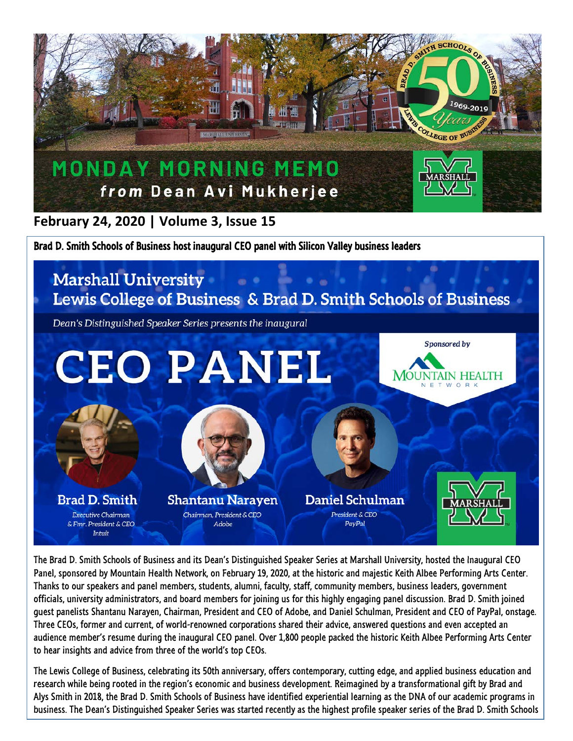

**February 24, 2020 | Volume 3, Issue 15**

Brad D. Smith Schools of Business host inaugural CEO panel with Silicon Valley business leaders

## **Marshall University** Lewis College of Business & Brad D. Smith Schools of Business Dean's Distinguished Speaker Series presents the inaugural Sponsored by **CEO PANEL MOUNTAIN HEALTH Brad D. Smith Shantanu Naraven** Daniel Schulman Chairman, President & CEO President & CEO Executive Chairman & Fmr. President & CEO Adobe PayPal Intuit

The Brad D. Smith Schools of Business and its Dean's Distinguished Speaker Series at Marshall University, hosted the Inaugural CEO Panel, sponsored by Mountain Health Network, on February 19, 2020, at the historic and majestic Keith Albee Performing Arts Center. Thanks to our speakers and panel members, students, alumni, faculty, staff, community members, business leaders, government officials, university administrators, and board members for joining us for this highly engaging panel discussion. Brad D. Smith joined guest panelists Shantanu Narayen, Chairman, President and CEO of Adobe, and Daniel Schulman, President and CEO of PayPal, onstage. Three CEOs, former and current, of world-renowned corporations shared their advice, answered questions and even accepted an audience member's resume during the inaugural CEO panel. Over 1,800 people packed the historic Keith Albee Performing Arts Center to hear insights and advice from three of the world's top CEOs.

The Lewis College of Business, celebrating its 50th anniversary, offers contemporary, cutting edge, and applied business education and research while being rooted in the region's economic and business development. Reimagined by a transformational gift by Brad and Alys Smith in 2018, the Brad D. Smith Schools of Business have identified experiential learning as the DNA of our academic programs in business. The Dean's Distinguished Speaker Series was started recently as the highest profile speaker series of the Brad D. Smith Schools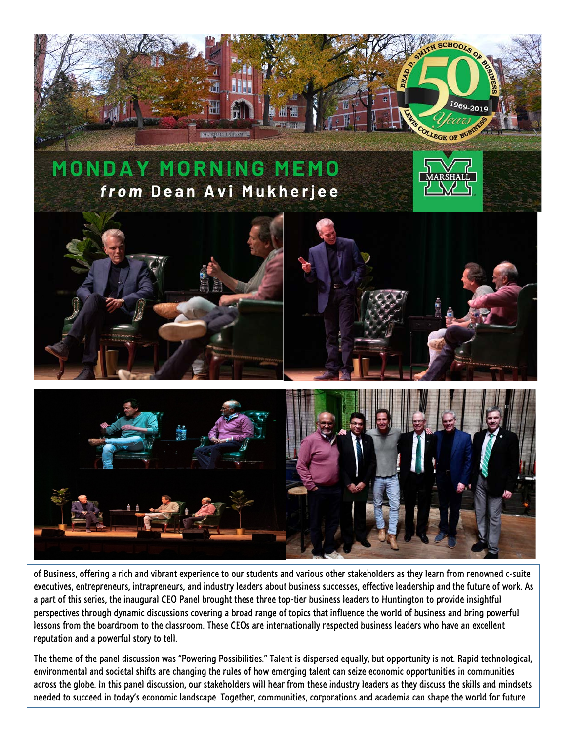

of Business, offering a rich and vibrant experience to our students and various other stakeholders as they learn from renowned c-suite executives, entrepreneurs, intrapreneurs, and industry leaders about business successes, effective leadership and the future of work. As a part of this series, the inaugural CEO Panel brought these three top-tier business leaders to Huntington to provide insightful perspectives through dynamic discussions covering a broad range of topics that influence the world of business and bring powerful lessons from the boardroom to the classroom. These CEOs are internationally respected business leaders who have an excellent reputation and a powerful story to tell.

The theme of the panel discussion was "Powering Possibilities." Talent is dispersed equally, but opportunity is not. Rapid technological, environmental and societal shifts are changing the rules of how emerging talent can seize economic opportunities in communities across the globe. In this panel discussion, our stakeholders will hear from these industry leaders as they discuss the skills and mindsets needed to succeed in today's economic landscape. Together, communities, corporations and academia can shape the world for future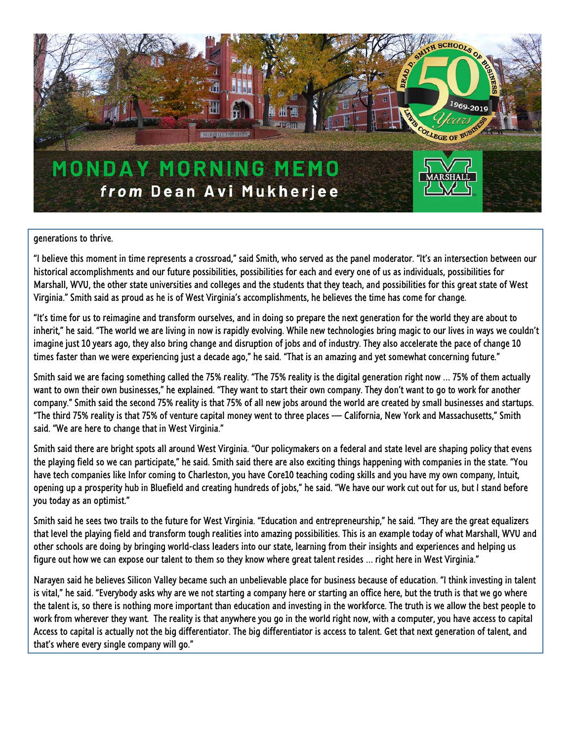

## generations to thrive.

"I believe this moment in time represents a crossroad," said Smith, who served as the panel moderator. "It's an intersection between our historical accomplishments and our future possibilities, possibilities for each and every one of us as individuals, possibilities for Marshall, WVU, the other state universities and colleges and the students that they teach, and possibilities for this great state of West Virginia." Smith said as proud as he is of West Virginia's accomplishments, he believes the time has come for change.

"It's time for us to reimagine and transform ourselves, and in doing so prepare the next generation for the world they are about to inherit," he said. "The world we are living in now is rapidly evolving. While new technologies bring magic to our lives in ways we couldn't imagine just 10 years ago, they also bring change and disruption of jobs and of industry. They also accelerate the pace of change 10 times faster than we were experiencing just a decade ago," he said. "That is an amazing and yet somewhat concerning future."

Smith said we are facing something called the 75% reality. "The 75% reality is the digital generation right now … 75% of them actually want to own their own businesses," he explained. "They want to start their own company. They don't want to go to work for another company." Smith said the second 75% reality is that 75% of all new jobs around the world are created by small businesses and startups. "The third 75% reality is that 75% of venture capital money went to three places — California, New York and Massachusetts," Smith said. "We are here to change that in West Virginia."

Smith said there are bright spots all around West Virginia. "Our policymakers on a federal and state level are shaping policy that evens the playing field so we can participate," he said. Smith said there are also exciting things happening with companies in the state. "You have tech companies like Infor coming to Charleston, you have Core10 teaching coding skills and you have my own company, Intuit, opening up a prosperity hub in Bluefield and creating hundreds of jobs," he said. "We have our work cut out for us, but I stand before you today as an optimist."

Smith said he sees two trails to the future for West Virginia. "Education and entrepreneurship," he said. "They are the great equalizers that level the playing field and transform tough realities into amazing possibilities. This is an example today of what Marshall, WVU and other schools are doing by bringing world-class leaders into our state, learning from their insights and experiences and helping us figure out how we can expose our talent to them so they know where great talent resides … right here in West Virginia."

Narayen said he believes Silicon Valley became such an unbelievable place for business because of education. "I think investing in talent is vital," he said. "Everybody asks why are we not starting a company here or starting an office here, but the truth is that we go where the talent is, so there is nothing more important than education and investing in the workforce. The truth is we allow the best people to work from wherever they want. The reality is that anywhere you go in the world right now, with a computer, you have access to capital Access to capital is actually not the big differentiator. The big differentiator is access to talent. Get that next generation of talent, and that's where every single company will go."